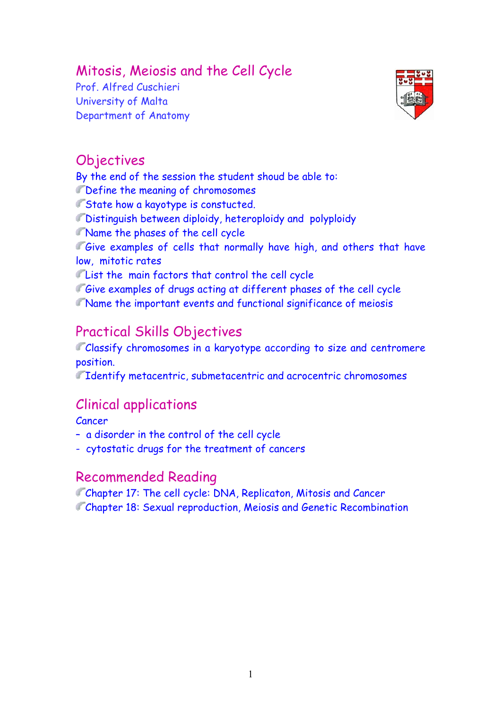# Mitosis, Meiosis and the Cell Cycle

Prof. Alfred Cuschieri University of Malta Department of Anatomy



# **Objectives**

By the end of the session the student shoud be able to:

Define the meaning of chromosomes

**State how a kayotype is constucted.** 

Distinguish between diploidy, heteroploidy and polyploidy

Name the phases of the cell cycle

Give examples of cells that normally have high, and others that have low, mitotic rates

List the main factors that control the cell cycle

Give examples of drugs acting at different phases of the cell cycle Name the important events and functional significance of meiosis

# Practical Skills Objectives

Classify chromosomes in a karyotype according to size and centromere position.

Identify metacentric, submetacentric and acrocentric chromosomes

# Clinical applications

Cancer

– a disorder in the control of the cell cycle

- cytostatic drugs for the treatment of cancers

# Recommended Reading

Chapter 17: The cell cycle: DNA, Replicaton, Mitosis and Cancer Chapter 18: Sexual reproduction, Meiosis and Genetic Recombination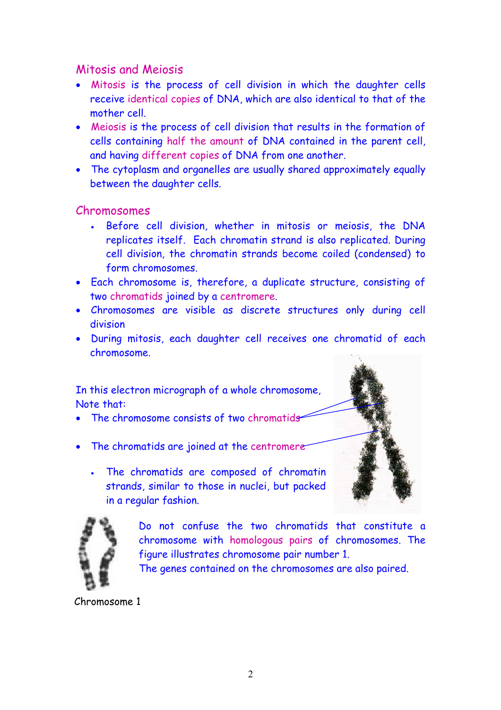## Mitosis and Meiosis

- Mitosis is the process of cell division in which the daughter cells receive identical copies of DNA, which are also identical to that of the mother cell.
- Meiosis is the process of cell division that results in the formation of cells containing half the amount of DNA contained in the parent cell, and having different copies of DNA from one another.
- The cytoplasm and organelles are usually shared approximately equally between the daughter cells.

#### Chromosomes

- Before cell division, whether in mitosis or meiosis, the DNA replicates itself. Each chromatin strand is also replicated. During cell division, the chromatin strands become coiled (condensed) to form chromosomes.
- Each chromosome is, therefore, a duplicate structure, consisting of two chromatids joined by a centromere.
- Chromosomes are visible as discrete structures only during cell division
- During mitosis, each daughter cell receives one chromatid of each chromosome.

In this electron micrograph of a whole chromosome, Note that:

- The chromosome consists of two chromatids
- The chromatids are joined at the centromere
	- The chromatids are composed of chromatin strands, similar to those in nuclei, but packed in a regular fashion.





Do not confuse the two chromatids that constitute a chromosome with homologous pairs of chromosomes. The figure illustrates chromosome pair number 1.

The genes contained on the chromosomes are also paired.

Chromosome 1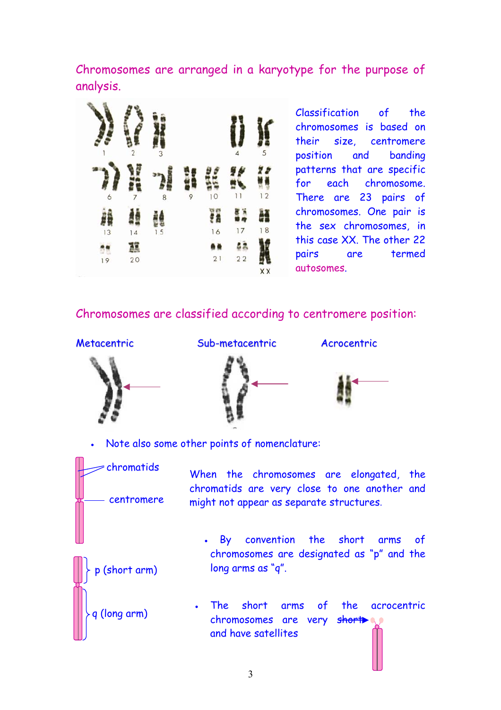Chromosomes are arranged in a karyotype for the purpose of analysis.



Classification of the chromosomes is based on their size, centromere position and banding patterns that are specific for each chromosome. There are 23 pairs of chromosomes. One pair is the sex chromosomes, in this case XX. The other 22 pairs are termed autosomes.

### Chromosomes are classified according to centromere position:





Metacentric Sub-metacentric Acrocentric



• Note also some other points of nomenclature:

q (long arm)

p (short arm)

chromatids When the chromosomes are elongated, the chromatids are very close to one another and centromere might not appear as separate structures.

- By convention the short arms of chromosomes are designated as "p" and the long arms as "q".
- The short arms of the acrocentric chromosomes are very short and have satellites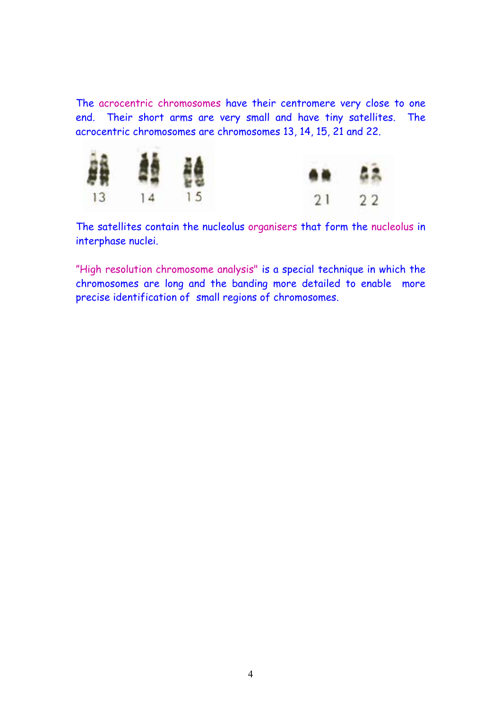The acrocentric chromosomes have their centromere very close to one end. Their short arms are very small and have tiny satellites. The acrocentric chromosomes are chromosomes 13, 14, 15, 21 and 22.



The satellites contain the nucleolus organisers that form the nucleolus in interphase nuclei.

"High resolution chromosome analysis" is a special technique in which the chromosomes are long and the banding more detailed to enable more precise identification of small regions of chromosomes.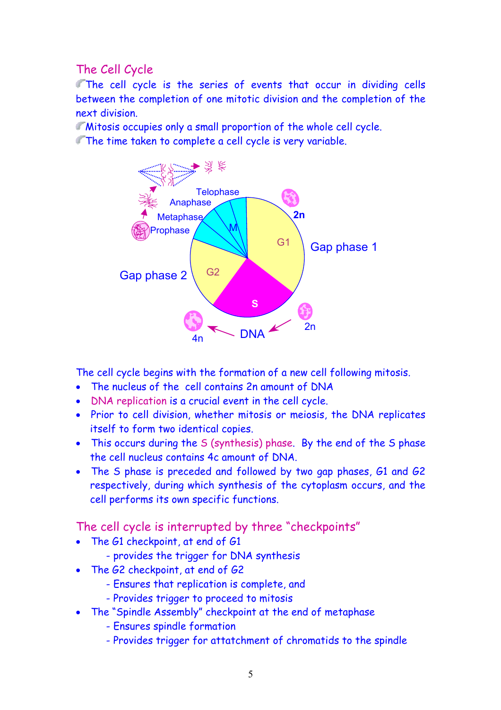## The Cell Cycle

The cell cycle is the series of events that occur in dividing cells between the completion of one mitotic division and the completion of the next division.

Mitosis occupies only a small proportion of the whole cell cycle.

The time taken to complete a cell cycle is very variable.



The cell cycle begins with the formation of a new cell following mitosis.

- The nucleus of the cell contains 2n amount of DNA
- DNA replication is a crucial event in the cell cycle.
- Prior to cell division, whether mitosis or meiosis, the DNA replicates itself to form two identical copies.
- This occurs during the S (synthesis) phase. By the end of the S phase the cell nucleus contains 4c amount of DNA.
- The S phase is preceded and followed by two gap phases, G1 and G2 respectively, during which synthesis of the cytoplasm occurs, and the cell performs its own specific functions.

The cell cycle is interrupted by three "checkpoints"

- The G1 checkpoint, at end of G1
	- provides the trigger for DNA synthesis
- The G2 checkpoint, at end of G2
	- Ensures that replication is complete, and
	- Provides trigger to proceed to mitosis
- The "Spindle Assembly" checkpoint at the end of metaphase
	- Ensures spindle formation
	- Provides trigger for attatchment of chromatids to the spindle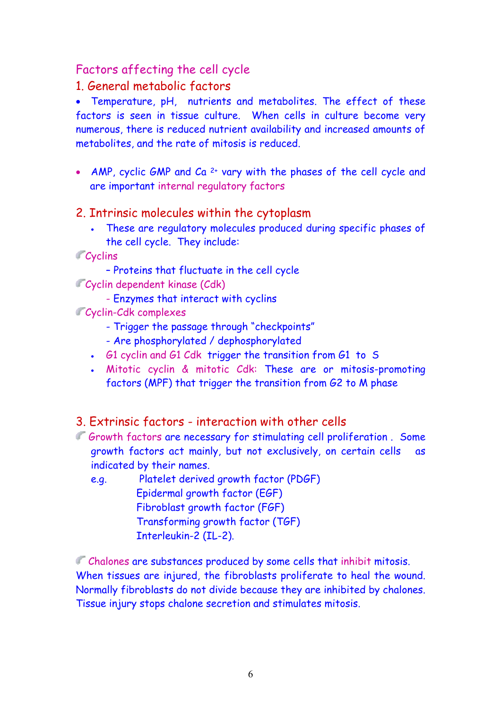## Factors affecting the cell cycle

#### 1. General metabolic factors

• Temperature, pH, nutrients and metabolites. The effect of these factors is seen in tissue culture. When cells in culture become very numerous, there is reduced nutrient availability and increased amounts of metabolites, and the rate of mitosis is reduced.

• AMP, cyclic GMP and Ca <sup>2+</sup> vary with the phases of the cell cycle and are important internal regulatory factors

#### 2. Intrinsic molecules within the cytoplasm

- These are regulatory molecules produced during specific phases of the cell cycle. They include:
- **Cyclins** 
	- Proteins that fluctuate in the cell cycle
- Cyclin dependent kinase (Cdk)
	- Enzymes that interact with cyclins
- **Cyclin-Cdk complexes** 
	- Trigger the passage through "checkpoints"
	- Are phosphorylated / dephosphorylated
	- G1 cyclin and G1 Cdk trigger the transition from G1 to S
	- Mitotic cyclin & mitotic Cdk: These are or mitosis-promoting factors (MPF) that trigger the transition from G2 to M phase

#### 3. Extrinsic factors - interaction with other cells

- Growth factors are necessary for stimulating cell proliferation. Some growth factors act mainly, but not exclusively, on certain cells as indicated by their names.
	- e.g. Platelet derived growth factor (PDGF) Epidermal growth factor (EGF) Fibroblast growth factor (FGF) Transforming growth factor (TGF) Interleukin-2 (IL-2).

Chalones are substances produced by some cells that inhibit mitosis. When tissues are injured, the fibroblasts proliferate to heal the wound. Normally fibroblasts do not divide because they are inhibited by chalones. Tissue injury stops chalone secretion and stimulates mitosis.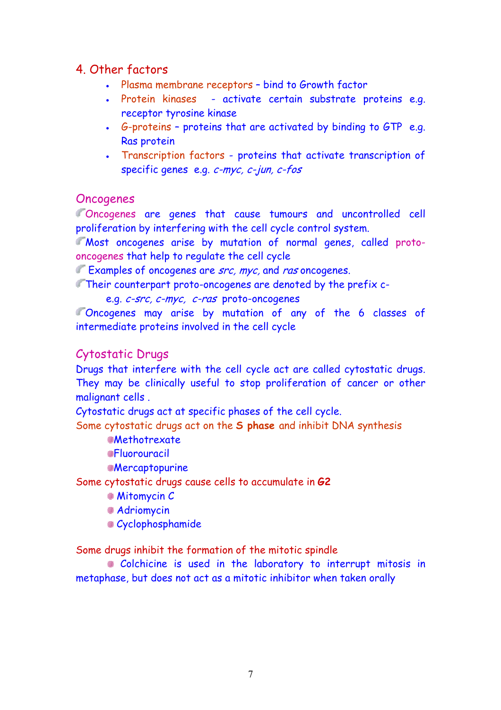### 4. Other factors

- Plasma membrane receptors bind to Growth factor
- Protein kinases activate certain substrate proteins e.g. receptor tyrosine kinase
- G-proteins proteins that are activated by binding to GTP e.g. Ras protein
- Transcription factors proteins that activate transcription of specific genes e.g. c-myc, c-jun, c-fos

#### **Oncogenes**

Oncogenes are genes that cause tumours and uncontrolled cell proliferation by interfering with the cell cycle control system.

Most oncogenes arise by mutation of normal genes, called protooncogenes that help to regulate the cell cycle

Examples of oncogenes are src, myc, and ras oncogenes.

Their counterpart proto-oncogenes are denoted by the prefix c-

e.g. c-src, c-myc, c-ras proto-oncogenes

Oncogenes may arise by mutation of any of the 6 classes of intermediate proteins involved in the cell cycle

#### Cytostatic Drugs

Drugs that interfere with the cell cycle act are called cytostatic drugs. They may be clinically useful to stop proliferation of cancer or other malignant cells .

Cytostatic drugs act at specific phases of the cell cycle.

Some cytostatic drugs act on the **S phase** and inhibit DNA synthesis

**Methotrexate** 

**Fluorouracil** 

**Mercaptopurine** 

Some cytostatic drugs cause cells to accumulate in **G2** 

**Mitomycin C** 

**Adriomycin** 

Cyclophosphamide

Some drugs inhibit the formation of the mitotic spindle

Colchicine is used in the laboratory to interrupt mitosis in metaphase, but does not act as a mitotic inhibitor when taken orally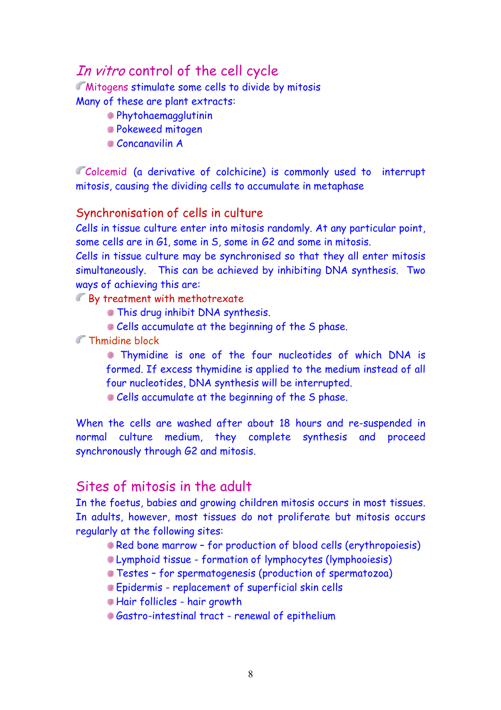# In vitro control of the cell cycle

**Mitogens stimulate some cells to divide by mitosis** 

Many of these are plant extracts:

- Phytohaemagglutinin
- Pokeweed mitogen
- Concanavilin A

Colcemid (a derivative of colchicine) is commonly used to interrupt mitosis, causing the dividing cells to accumulate in metaphase

#### Synchronisation of cells in culture

Cells in tissue culture enter into mitosis randomly. At any particular point, some cells are in G1, some in S, some in G2 and some in mitosis.

Cells in tissue culture may be synchronised so that they all enter mitosis simultaneously. This can be achieved by inhibiting DNA synthesis. Two ways of achieving this are:

By treatment with methotrexate

- **This drug inhibit DNA synthesis.**
- Cells accumulate at the beginning of the S phase.

**Thmidine block** 

 Thymidine is one of the four nucleotides of which DNA is formed. If excess thymidine is applied to the medium instead of all four nucleotides, DNA synthesis will be interrupted.

Cells accumulate at the beginning of the S phase.

When the cells are washed after about 18 hours and re-suspended in normal culture medium, they complete synthesis and proceed synchronously through G2 and mitosis.

## Sites of mitosis in the adult

In the foetus, babies and growing children mitosis occurs in most tissues. In adults, however, most tissues do not proliferate but mitosis occurs regularly at the following sites:

- Red bone marrow for production of blood cells (erythropoiesis)
- Lymphoid tissue formation of lymphocytes (lymphooiesis)
- Testes for spermatogenesis (production of spermatozoa)
- Epidermis replacement of superficial skin cells
- Hair follicles hair growth
- Gastro-intestinal tract renewal of epithelium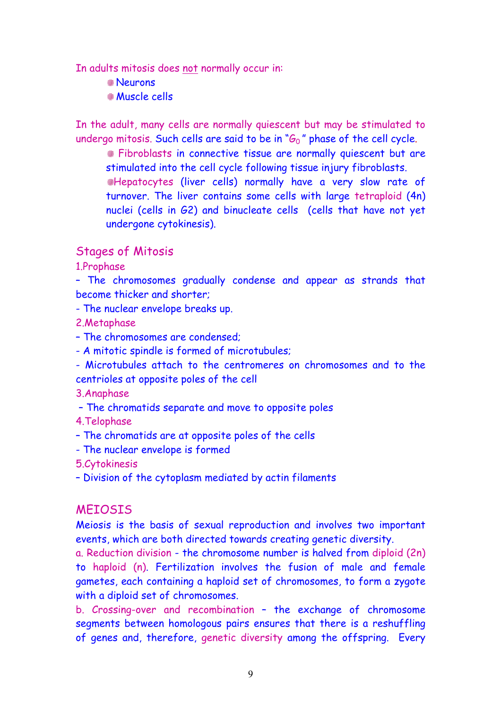In adults mitosis does not normally occur in:

- Neurons
- Muscle cells

In the adult, many cells are normally quiescent but may be stimulated to undergo mitosis. Such cells are said to be in " $G_0$ " phase of the cell cycle.

**Fibroblasts in connective tissue are normally quiescent but are** stimulated into the cell cycle following tissue injury fibroblasts. Hepatocytes (liver cells) normally have a very slow rate of turnover. The liver contains some cells with large tetraploid (4n) nuclei (cells in G2) and binucleate cells (cells that have not yet undergone cytokinesis).

#### Stages of Mitosis

1.Prophase

– The chromosomes gradually condense and appear as strands that become thicker and shorter;

- The nuclear envelope breaks up.

2.Metaphase

- The chromosomes are condensed;
- A mitotic spindle is formed of microtubules;
- Microtubules attach to the centromeres on chromosomes and to the centrioles at opposite poles of the cell

3.Anaphase

– The chromatids separate and move to opposite poles

4.Telophase

- The chromatids are at opposite poles of the cells
- The nuclear envelope is formed

5.Cytokinesis

– Division of the cytoplasm mediated by actin filaments

#### MEIOSIS

Meiosis is the basis of sexual reproduction and involves two important events, which are both directed towards creating genetic diversity.

a. Reduction division - the chromosome number is halved from diploid (2n) to haploid (n). Fertilization involves the fusion of male and female gametes, each containing a haploid set of chromosomes, to form a zygote with a diploid set of chromosomes.

b. Crossing-over and recombination – the exchange of chromosome segments between homologous pairs ensures that there is a reshuffling of genes and, therefore, genetic diversity among the offspring. Every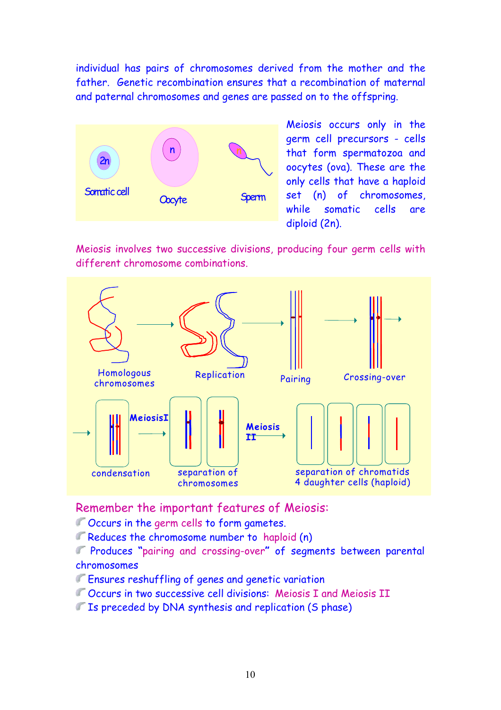individual has pairs of chromosomes derived from the mother and the father. Genetic recombination ensures that a recombination of maternal and paternal chromosomes and genes are passed on to the offspring.



Meiosis occurs only in the germ cell precursors - cells that form spermatozoa and oocytes (ova). These are the only cells that have a haploid set (n) of chromosomes, while somatic cells are diploid (2n).

Meiosis involves two successive divisions, producing four germ cells with different chromosome combinations.



Remember the important features of Meiosis:

- 
- Reduces the chromosome number to haploid (n)

Produces **"**pairing and crossing-over**"** of segments between parental chromosomes

- Ensures reshuffling of genes and genetic variation
- Occurs in two successive cell divisions: Meiosis I and Meiosis II
- If Is preceded by DNA synthesis and replication (S phase)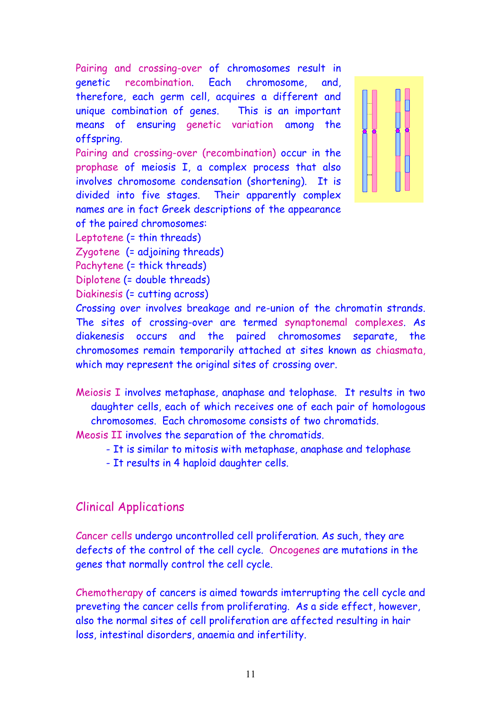Pairing and crossing-over of chromosomes result in genetic recombination. Each chromosome, and, therefore, each germ cell, acquires a different and unique combination of genes. This is an important means of ensuring genetic variation among the offspring.

Pairing and crossing-over (recombination) occur in the prophase of meiosis I, a complex process that also involves chromosome condensation (shortening). It is divided into five stages. Their apparently complex names are in fact Greek descriptions of the appearance of the paired chromosomes:



Leptotene (= thin threads)

Zygotene (= adjoining threads)

Pachytene (= thick threads)

Diplotene (= double threads)

Diakinesis (= cutting across)

Crossing over involves breakage and re-union of the chromatin strands. The sites of crossing-over are termed synaptonemal complexes. As diakenesis occurs and the paired chromosomes separate, the chromosomes remain temporarily attached at sites known as chiasmata, which may represent the original sites of crossing over.

Meiosis I involves metaphase, anaphase and telophase. It results in two daughter cells, each of which receives one of each pair of homologous chromosomes. Each chromosome consists of two chromatids.

Meosis II involves the separation of the chromatids.

- It is similar to mitosis with metaphase, anaphase and telophase

- It results in 4 haploid daughter cells.

#### Clinical Applications

Cancer cells undergo uncontrolled cell proliferation. As such, they are defects of the control of the cell cycle. Oncogenes are mutations in the genes that normally control the cell cycle.

Chemotherapy of cancers is aimed towards imterrupting the cell cycle and preveting the cancer cells from proliferating. As a side effect, however, also the normal sites of cell proliferation are affected resulting in hair loss, intestinal disorders, anaemia and infertility.